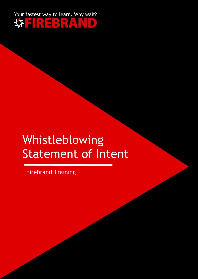

# Whistleblowing Statement of Intent

Firebrand Training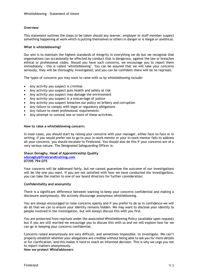### **Overview**

This statement outlines the steps to be taken should any learner, employer or staff member suspect something happening at work which is putting themselves or others in danger or is illegal or unethical.

#### **What is whistleblowing?**

Our aim is to maintain the highest standards of integrity in everything we do but we recognise that organisations can occasionally be affected by conduct that is dangerous, against the law or breaches ethical or professional codes. Should you have such concerns, we encourage you to report them immediately - this is called 'whistleblowing'. You can be assured that we will take your concerns seriously, they will be thoroughly investigated, and you can be confident there will be no reprisals.

The types of concerns you may want to raise with us by whistleblowing include:

- Any activity you suspect is criminal
- Any activity you suspect puts health and safety at risk
- Any activity you suspect may damage the environment
- Any activity you suspect is a miscarriage of justice
- Any activity you suspect breaches our policy on bribery and corruption
- Any failure to comply with legal or regulatory obligations
- Any failure to meet professional requirements
- Any attempt to conceal one or more of these activities.

#### **How to raise a whistleblowing concern:**

In most cases, you should start by raising your concerns with your manager, either face-to-face or in writing. If you would prefer not to go to your in-work mentor or your in-work mentor fails to address all your concerns, you should escalate to Firebrand. You should also do this if your concerns are of a very serious nature. The Designated Safeguarding Officer is:

#### **Shaun Donaghy, Head of Apprenticeship Quality**

## **[sdonaghy@firebrandtraining.com](mailto:sdonaghy@firebrandtraining.com)**

**07395 794 075**

Your concerns will be addressed fairly, but we cannot guarantee the outcome of our investigations will be the one you want. If you are not satisfied with how we have conducted the investigations, you can take the matter to one of our board directors for further consideration.

#### **Confidentiality and anonymity**

There is a significant difference between wanting to keep your concerns confidential and making a disclosure anonymously. We actively discourage anonymous whistleblowing.

You are always encouraged to raise concerns openly and if you prefer to do so in confidence we will do all that we can to ensure your identity remains hidden. We may want to disclose your identity to people involved in the investigation, but will always discuss this with you first.

You are protected from reprisals under the associated Whistleblowing Policy (available upon request) but if you are still worried we encourage you to discuss this with us and we will explore how far we can go in keeping your concerns confidential.

Concerns raised anonymously are very difficult, and sometimes impossible, to investigate. We can't properly establish whether your allegations are credible without being able to ask you for more details or for clarification, and this makes it hard to reach an informed decision. This is why we urge you not to report matters anonymously.

**How we protect Whistleblowers**